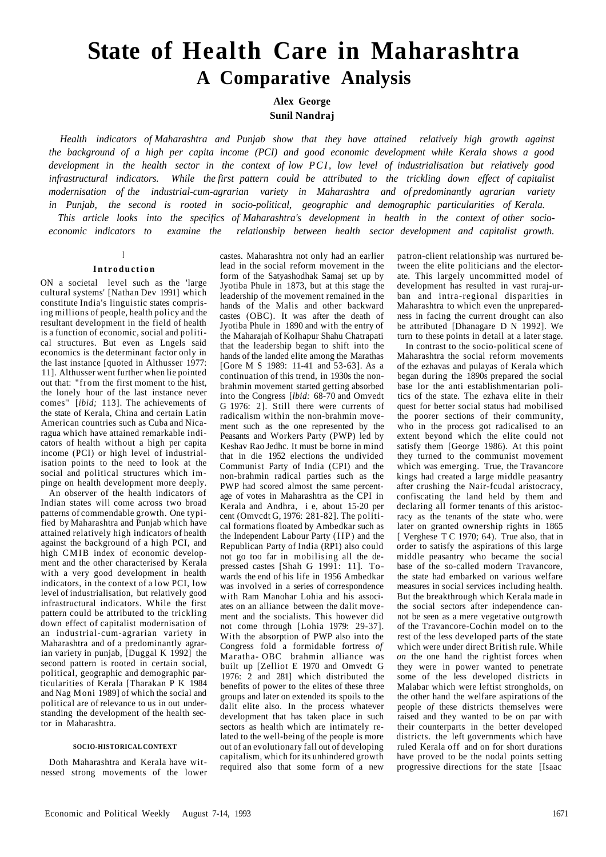# **State of Health Care in Maharashtra A Comparative Analysis**

**Alex George** 

**Sunil Nandraj** 

*Health indicators of Maharashtra and Punjab show that they have attained relatively high growth against the background of a high per capita income (PCI) and good economic development while Kerala shows a good development in the health sector in the context of low PCI, low level of industrialisation but relatively good infrastructural indicators. While the first pattern could be attributed to the trickling down effect of capitalist modernisation of the industrial-cum-agrarian variety in Maharashtra and of predominantly agrarian variety in Punjab, the second is rooted in socio-political, geographic and demographic particularities of Kerala. This article looks into the specifics of Maharashtra's development in health in the context of other socioeconomic indicators to examine the relationship between health sector development and capitalist growth.* 

**I** 

# Introduction

ON a societal level such as the 'large cultural systems' [Nathan Dev 1991] which constitute India's linguistic states comprising millions of people, health policy and the resultant development in the field of health is a function of economic, social and political structures. But even as Lngels said economics is the determinant factor only in the last instance [quoted in Althusser 1977: 11]. Althusser went further when lie pointed out that: "from the first moment to the hist, the lonely hour of the last instance never comes'' [*ibid;* 113]. The achievements of the state of Kerala, China and certain Latin American countries such as Cuba and Nicaragua which have attained remarkable indicators of health without a high per capita income (PCI) or high level of industrialisation points to the need to look at the social and political structures which impinge on health development more deeply.

An observer of the health indicators of Indian states will come across two broad patterns of commendable growth. One typified by Maharashtra and Punjab which have attained relatively high indicators of health against the background of a high PCI, and high CMIB index of economic development and the other characterised by Kerala with a very good development in health indicators, in the context of a low PCI, low level of industrialisation, but relatively good infrastructural indicators. While the first pattern could be attributed to the trickling down effect of capitalist modernisation of an industrial-cum-agrarian variety in Maharashtra and of a predominantly agrarian variety in punjab, [Duggal K 1992] the second pattern is rooted in certain social, political, geographic and demographic particularities of Kerala [Tharakan P K 1984 and Nag Moni 1989] of which the social and political are of relevance to us in out understanding the development of the health sector in Maharashtra.

# **SOCIO-HISTORICAL CONTEXT**

Doth Maharashtra and Kerala have witnessed strong movements of the lower

castes. Maharashtra not only had an earlier lead in the social reform movement in the form of the Satyashodhak Samaj set up by Jyotiba Phule in 1873, but at this stage the leadership of the movement remained in the hands of the Malis and other backward castes (OBC). It was after the death of Jyotiba Phule in 1890 and with the entry of the Maharajah of KoIhapur Shahu Chatrapati that the leadership began to shift into the hands of the landed elite among the Marathas [Gore M S 1989: 11-41 and 53-63]. As a continuation of this trend, in 1930s the nonbrahmin movement started getting absorbed into the Congress [*[lbid:](file:///lbul)* 68-70 and Omvedt G 1976: 2]. Still there were currents of radicalism within the non-brahmin movement such as the one represented by the Peasants and Workers Party (PWP) led by Keshav Rao Jedhc. It must be borne in mind that in die 1952 elections the undivided Communist Party of India (CPI) and the non-brahmin radical parties such as the PWP had scored almost the same percentage of votes in Maharashtra as the CPI in Kerala and Andhra, i e, about 15-20 per cent (Omvcdt G, 1976: 281-82]. The political formations floated by Ambedkar such as the Independent Labour Party (IIP) and the Republican Party of India (RP1) also could not go too far in mobilising all the depressed castes [Shah G 1991: 11]. Towards the end of his life in 1956 Ambedkar was involved in a series of correspondence with Ram Manohar Lohia and his associates on an alliance between the dalit movement and the socialists. This however did not come through [Lohia 1979: 29-37]. With the absorption of PWP also into the Congress fold a formidable fortress *of*  Maratha- OBC brahmin alliance was built up [Zelliot E 1970 and Omvedt G 1976: 2 and 281] which distributed the benefits of power to the elites of these three groups and later on extended its spoils to the dalit elite also. In the process whatever development that has taken place in such sectors as health which are intimately related to the well-being of the people is more out of an evolutionary fall out of developing capitalism, which for its unhindered growth required also that some form of a new

patron-client relationship was nurtured between the elite politicians and the electorate. This largely uncommitted model of development has resulted in vast ruraj-urban and intra-regional disparities in Maharashtra to which even the unpreparedness in facing the current drought can also be attributed [Dhanagare D N 1992]. We turn to these points in detail at a later stage.

In contrast to the socio-political scene of Maharashtra the social reform movements of the ezhavas and pulayas of Kerala which began during the 1890s prepared the social base lor the anti establishmentarian politics of the state. The ezhava elite in their quest for better social status had mobilised the poorer sections of their community, who in the process got radicalised to an extent beyond which the elite could not satisfy them [George 1986). At this point they turned to the communist movement which was emerging. True, the Travancore kings had created a large middle peasantry after crushing the Nair-fcudal aristocracy, confiscating the land held by them and declaring all former tenants of this aristocracy as the tenants of the state who. were later on granted ownership rights in 1865 [ Verghese T C 1970; 64). True also, that in order to satisfy the aspirations of this large middle peasantry who became the social base of the so-called modern Travancore, the state had embarked on various welfare measures in social services including health. But the breakthrough which Kerala made in the social sectors after independence cannot be seen as a mere vegetative outgrowth of the Travancore-Cochin model on to the rest of the less developed parts of the state which were under direct British rule. While *on* the one hand the rightist forces when they were in power wanted to penetrate some of the less developed districts in Malabar which were leftist strongholds, on the other hand the welfare aspirations of the people *of* these districts themselves were raised and they wanted to be on par with their counterparts in the better developed districts. the left governments which have ruled Kerala off and on for short durations have proved to be the nodal points setting progressive directions for the state [Isaac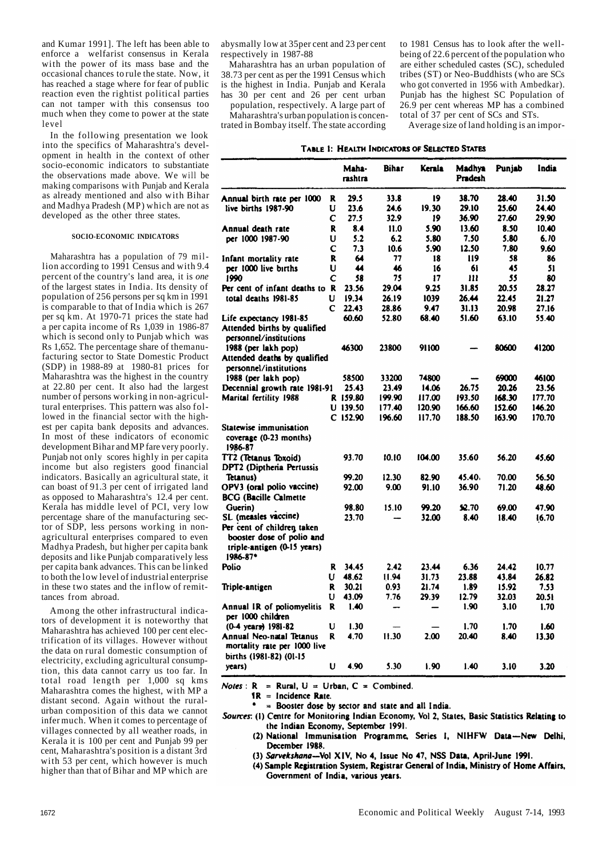and Kumar 1991]. The left has been able to enforce a welfarist consensus in Kerala with the power of its mass base and the occasional chances to rule the state. Now, it has reached a stage where for fear of public reaction even the rightist political parties can not tamper with this consensus too much when they come to power at the state level

In the following presentation we look into the specifics of Maharashtra's development in health in the context of other socio-economic indicators to substantiate the observations made above. We will be making comparisons with Punjab and Kerala as already mentioned and also with Bihar and Madhya Pradesh (MP) which are not as developed as the other three states.

#### **SOCIO-ECONOMIC INDICATORS**

Maharashtra has a population of 79 million according to 1991 Census and with 9.4 percent of the country's land area, it is *one*  of the largest states in India. Its density of population of 256 persons per sq km in 1991 is comparable to that of India which is 267 per sq km. At 1970-71 prices the state had a per capita income of  $\hat{Rs}$  1,039 in 1986-87 which is second only to Punjab which was Rs 1,652. The percentage share of themanufacturing sector to State Domestic Product (SDP) in 1988-89 at 1980-81 prices for Maharashtra was the highest in the country at 22.80 per cent. It also had the largest number of persons working in non-agricultural enterprises. This pattern was also followed in the financial sector with the highest per capita bank deposits and advances. In most of these indicators of economic development Bihar and MP fare very poorly. Punjab not only scores highly in per capita income but also registers good financial indicators. Basically an agricultural state, it can boast of 91.3 per cent of irrigated land as opposed to Maharashtra's 12.4 per cent. Kerala has middle level of PCI, very low percentage share of the manufacturing sector of SDP, less persons working in nonagricultural enterprises compared to even Madhya Pradesh, but higher per capita bank deposits and like Punjab comparatively less per capita bank advances. This can be linked to both the low level of industrial enterprise in these two states and the inflow of remittances from abroad.

Among the other infrastructural indicators of development it is noteworthy that Maharashtra has achieved 100 per cent electrification of its villages. However without the data on rural domestic consumption of electricity, excluding agricultural consumption, this data cannot carry us too far. In total road length per 1,000 sq kms Maharashtra comes the highest, with MP a distant second. Again without the ruralurban composition of this data we cannot infer much. When it comes to percentage of villages connected by all weather roads, in Kerala it is 100 per cent and Punjab 99 per cent, Maharashtra's position is a distant 3rd with 53 per cent, which however is much higher than that of Bihar and MP which are

abysmally low at 35per cent and 23 per cent respectively in 1987-88

Maharashtra has an urban population of 38.73 per cent as per the 1991 Census which is the highest in India. Punjab and Kerala has 30 per cent and 26 per cent urban

population, respectively. A large part of Maharashtra's urban population is concentrated in Bombay itself. The state according

to 1981 Census has to look after the wellbeing of 22.6 percent of the population who are either scheduled castes  $(S\hat{C})$ , scheduled tribes (ST) or Neo-Buddhists (who are SCs who got converted in 1956 with Ambedkar). Punjab has the highest SC Population of 26.9 per cent whereas MP has a combined total of 37 per cent of SCs and STs.

Average size of land holding is an impor-

#### TABLE 1: HEALTH INDICATORS OF SELECTED STATES

|                                                                                                    |   | Maha-<br>rashtra | <b>Bihar</b> | <b>Kerala</b> | Madhya<br>Pradesh | Punjab | India  |
|----------------------------------------------------------------------------------------------------|---|------------------|--------------|---------------|-------------------|--------|--------|
| Annual birth rate per 1000                                                                         | R | 29.5             | 33.8         | 19            | 38.70             | 28.40  | 31.50  |
| live births 1987-90                                                                                | U | 23.6             | 24.6         | 19.30         | 29.10             | 25.60  | 24.40  |
|                                                                                                    | C | 27.5             | 32.9         | 19            | 36.90             | 27.60  | 29.90  |
| Annual death rate                                                                                  | R | 8.4              | 11.0         | 5.90          | 13.60             | 8.50   | 10.40  |
| per 1000 1987-90                                                                                   | U | 5.2              | 6.2          | 5.80          | 7.50              | 5.80   | 6.70   |
|                                                                                                    | C | 7.3              | 10.6         | 5.90          | 12.50             | 7.80   | 9.60   |
| Infant mortality rate                                                                              | R | 64               | 77           | 18            | 119               | 58     | 86     |
| per 1000 live births                                                                               | U | 44               | 46           | 16            | 61                | 45     | 51     |
| 1990                                                                                               | С | 58               | 75           | 17            | Ш                 | 55     | 80     |
| Per cent of infant deaths to R                                                                     |   | 23.56            | 29.04        | 9.25          | 31.85             | 20.55  | 28.27  |
| total deaths 1981-85                                                                               | U | 19.34            | 26.19        | 1039          | 26.44             | 22.45  | 21.27  |
|                                                                                                    | C | 22.43            | 28.86        | 9.47          | 31.13             | 20.98  | 27.16  |
| Life expectancy 1981-85                                                                            |   | 60.60            | 52.80        | 68.40         | 51.60             | 63.10  | 55.40  |
| Attended births by qualified<br>personnel/institutions                                             |   |                  |              |               |                   |        |        |
| 1988 (per lakh pop)                                                                                |   | 46300            | 23800        | 91100         |                   | 80600  | 41200  |
| Attended deaths by qualified<br>personnel/institutions                                             |   |                  |              |               |                   |        |        |
| 1988 (per lakh pop)                                                                                |   | 58500            | 33200        | 74800         |                   | 69000  | 46100  |
| Decennial growth rate 1981-91                                                                      |   | 25.43            | 23.49        | 14.06         | 26.75             | 20.26  | 23.56  |
| Marital fertility 1988                                                                             |   | R 159.80         | 199.90       | 117.00        | 193.50            | 168.30 | 177.70 |
|                                                                                                    |   | $U$ 139.50       | 177.40       | 120.90        | 166.60            | 152.60 | 146.20 |
| Statewise immunisation<br>coverage (0-23 months)<br>1986-87                                        |   | C 152.90         | 196.60       | 117.70        | 188.50            | 163.90 | 170.70 |
| TT2 (Tetanus Toxoid)<br>DPT2 (Diptheria Pertussis                                                  |   | 93.70            | 10.10        | 104.00        | 35.60             | 56.20  | 45.60  |
| Tetanus)                                                                                           |   | 99.20            | 12.30        | 82.90         | 45.40.            | 70.00  | 56.50  |
| OPV3 (oral polio vaccine)<br><b>BCG</b> (Bacille Calmette                                          |   | 92.00            | 9.00         | 91.10         | 36.90             | 71.20  | 48.60  |
| Guerin)                                                                                            |   | 98.80            | 15.10        | 99.20         | 52.70             | 69.00  | 47.90  |
| SL (measles vaccine)                                                                               |   | 23.70            |              | 32.00         | 8.40              | 18.40  | 16.70  |
| Per cent of children taken<br>booster dose of polio and<br>triple-antigen (0-15 years)<br>1986-87* |   |                  |              |               |                   |        |        |
| Polio                                                                                              | R | 34.45            | 2.42         | 23.44         | 6.36              | 24.42  | 10.77  |
|                                                                                                    | U | 48.62            | 11.94        | 31.73         | 23.88             | 43.84  | 26.82  |
| Triple-antigen                                                                                     | R | 30.21            | 0.93         | 21.74         | 1.89              | 15.92  | 7.53   |
|                                                                                                    | U | 43.09            | 7.76         | 29.39         | 12.79             | 32.03  | 20.51  |
| Annual IR of poliomyelitis<br>per 1000 children                                                    | R | 1.40             |              |               | 1.90              | 3.10   | 1.70   |
| $(0-4 \text{ years})$ 1981-82                                                                      | U | 1.30             |              |               | 1.70              | 1.70   | 1.60   |
| Annual Neo-natal Tetanus<br>mortality rate per 1000 live<br>births (1981-82) (01-15                | R | 4.70             | 11.30        | 2.00          | 20.40             | 8.40   | 13.30  |
| years)                                                                                             | U | 4.90             | 5.30         | 1.90          | 1.40              | 3.10   | 3.20   |

*Notes* :  $R = Rural, U = Urban, C = Combined.$ 

 $IR = Incidence Rate.$ 

 $\bullet$  = Booster dose by sector and state and all India.

Sources: (1) Centre for Monitoring Indian Economy, Vol 2, States, Basic Statistics Relating to the Indian Economy, September 1991.

(2) National Immunisation Programme, Series I, NIHFW Data-New Delhi, December 1988.

(3) Sarvekshana--Vol XIV, No 4, Issue No 47, NSS Data, April-June 1991.

(4) Sample Registration System, Registrar General of India, Ministry of Home Affairs, Government of India, various years.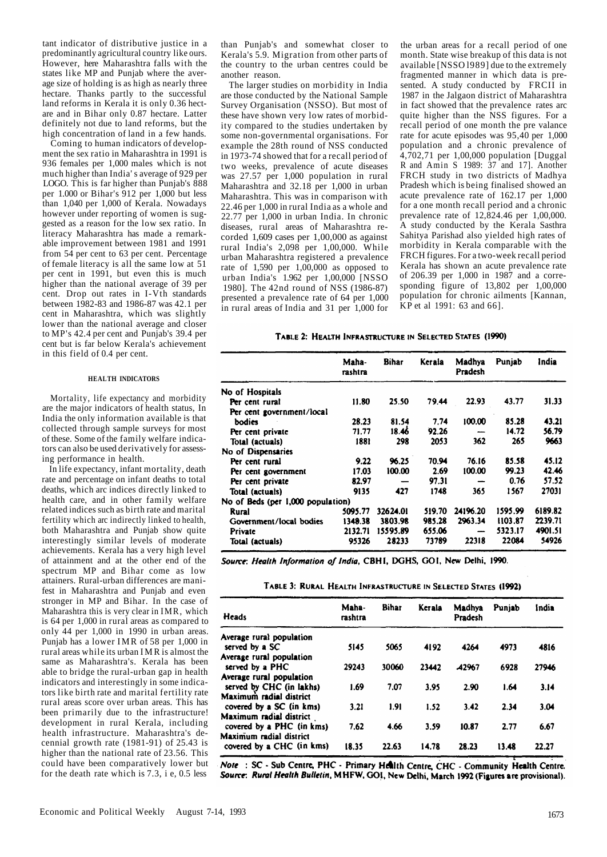tant indicator of distributive justice in a predominantly agricultural country like ours. However, here Maharashtra falls with the states like MP and Punjab where the average size of holding is as high as nearly three hectare. Thanks partly to the successful land reforms in Kerala it is only 0.36 hectare and in Bihar only 0.87 hectare. Latter definitely not due to land reforms, but the high concentration of land in a few hands.

Coming to human indicators of development the sex ratio in Maharashtra in 1991 is 936 females per 1,000 males which is not much higher than India' s average of 929 per LOGO. This is far higher than Punjab's 888 per 1.000 or Bihar's 912 per 1,000 but less than 1,040 per 1,000 of Kerala. Nowadays however under reporting of women is suggested as a reason for the low sex ratio. In literacy Maharashtra has made a remarkable improvement between 1981 and 1991 from 54 per cent to 63 per cent. Percentage of female literacy is all the same low at 51 per cent in 1991, but even this is much higher than the national average of 39 per cent. Drop out rates in I-Vth standards between 1982-83 and 1986-87 was 42.1 per cent in Maharashtra, which was slightly lower than the national average and closer to MP's 42.4 per cent and Punjab's 39.4 per cent but is far below Kerala's achievement in this field of 0.4 per cent.

#### **HEALTH INDICATORS**

Mortality, life expectancy and morbidity are the major indicators of health status, In India the only information available is that collected through sample surveys for most of these. Some of the family welfare indicators can also be used derivatively for assessing performance in health.

In life expectancy, infant mortality, death rate and percentage on infant deaths to total deaths, which arc indices directly linked to health care, and in other family welfare related indices such as birth rate and marital fertility which arc indirectly linked to health, both Maharashtra and Punjab show quite interestingly similar levels of moderate achievements. Kerala has a very high level of attainment and at the other end of the spectrum MP and Bihar come as low attainers. Rural-urban differences are manifest in Maharashtra and Punjab and even stronger in MP and Bihar. In the case of Maharashtra this is very clear in IMR, which is 64 per 1,000 in rural areas as compared to only 44 per 1,000 in 1990 in urban areas. Punjab has a lower IMR of 58 per 1,000 in rural areas while its urban IM R is almost the same as Maharashtra's. Kerala has been able to bridge the rural-urban gap in health indicators and interestingly in some indicators like birth rate and marital fertility rate rural areas score over urban areas. This has been primarily due to the infrastructure! development in rural Kerala, including health infrastructure. Maharashtra's decennial growth rate (1981-91) of 25.43 is higher than the national rate of 23.56. This could have been comparatively lower but for the death rate which is 7.3, i e, 0.5 less

than Punjab's and somewhat closer to Kerala's 5.9. Migration from other parts of the country to the urban centres could be another reason.

The larger studies on morbidity in India are those conducted by the National Sample Survey Organisation (NSSO). But most of these have shown very low rates of morbidity compared to the studies undertaken by some non-governmental organisations. For example the 28th round of NSS conducted in 1973-74 showed that for a recall period of two weeks, prevalence of acute diseases was 27.57 per 1,000 population in rural Maharashtra and 32.18 per 1,000 in urban Maharashtra. This was in comparison with 22.46 per 1,000 in rural India as a whole and 22.77 per 1,000 in urban India. In chronic diseases, rural areas of Maharashtra recorded 1,609 cases per 1,00,000 as against rural India's 2,098 per 1,00,000. While urban Maharashtra registered a prevalence rate of 1,590 per 1,00,000 as opposed to urban India's 1.962 per 1,00,000 [NSSO 1980]. The 42nd round of NSS (1986-87) presented a prevalence rate of 64 per 1,000 in rural areas of India and 31 per 1,000 for

the urban areas for a recall period of one month. State wise breakup of this data is not available [NSSO l989] due to the extremely fragmented manner in which data is presented. A study conducted by FRCII in 1987 in the Jalgaon district of Maharashtra in fact showed that the prevalence rates arc quite higher than the NSS figures. For a recall period of one month the pre valance rate for acute episodes was 95,40 per 1,000 population and a chronic prevalence of 4,702,71 per 1,00,000 population [Duggal R and Amin S 1989: 37 and 17]. Another FRCH study in two districts of Madhya Pradesh which is being finalised showed an acute prevalence rate of 162.17 per 1,000 for a one month recall period and a chronic prevalence rate of 12,824.46 per 1,00,000. A study conducted by the Kerala Sasthra Sahitya Parishad also yielded high rates of morbidity in Kerala comparable with the FRCH figures. For a two-week recall period Kerala has shown an acute prevalence rate of 206.39 per 1,000 in 1987 and a corresponding figure of 13,802 per 1,00,000 population for chronic ailments [Kannan,  $\overrightarrow{KP}$  et al 1991: 63 and 66].

#### TABLE 2: HEALTH INFRASTRUCTURE IN SELECTED STATES (1990)

|                                   | Maha-<br>rashtra | <b>Bihar</b> | Kerala | Madhya<br>Pradesh | Punjab  | India   |
|-----------------------------------|------------------|--------------|--------|-------------------|---------|---------|
| No of Hospitals                   |                  |              |        |                   |         |         |
| Per cent rural                    | 11.80            | 25.50        | 79.44  | 22.93             | 43.77   | 31.33   |
| Per cent government/local         |                  |              |        |                   |         |         |
| bodies                            | 28.23            | 81.54        | 7.74   | 100.00            | 85.28   | 43.21   |
| Per cent private                  | 71.77            | 18.46        | 92.26  |                   | 14.72   | 56.79   |
| Total (actuals)                   | 1881             | 298          | 2053   | 362               | 265     | 9663    |
| No of Dispensaries                |                  |              |        |                   |         |         |
| Per cent rural                    | 9.22             | 96.25        | 70.94  | 76.16             | 85.58   | 45.12   |
| Per cent government               | 17.03            | 100.00       | 2.69   | 100.00            | 99.23   | 42.46   |
| Per cent private                  | 82.97            |              | 97.31  |                   | 0.76    | 57.52   |
| Total (actuals)                   | 9135             | 427          | 1748   | 365               | 1567    | 27031   |
| No of Beds (per 1,000 population) |                  |              |        |                   |         |         |
| Rural                             | 5095.77          | 32624.01     | 519.70 | 24196.20          | 1595.99 | 6189.82 |
| Government/local bodies           | 1349.38          | 3803.98      | 985.28 | 2963.34           | 1103.87 | 2239.71 |
| Private                           | 2132.71          | 15595.89     | 655.06 | —                 | 5323.17 | 4901.51 |
| Total (actuals)                   | 95326            | 28233        | 73789  | 22318             | 22084   | 54926   |

Source: Health Information of India, CBH1, DGHS, GO1, New Delhi, 1990.

|  |  | TABLE 3: RURAL HEALTH INFRASTRUCTURE IN SELECTED STATES (1992) |  |  |  |
|--|--|----------------------------------------------------------------|--|--|--|
|--|--|----------------------------------------------------------------|--|--|--|

| Heads                     | Maha-<br>rashtra | <b>Bihar</b> | Kerala | Madhya<br>Pradesh | Punjab | India |
|---------------------------|------------------|--------------|--------|-------------------|--------|-------|
| Average rural population  |                  |              |        |                   |        |       |
| served by a SC            | 5145             | 5065         | 4192   | 4264              | 4973   | 4816  |
| Average rural population  |                  |              |        |                   |        |       |
| served by a PHC           | 29243            | 30060        | 23442  | <b>A2967</b>      | 6928   | 27946 |
| Average rural population  |                  |              |        |                   |        |       |
| served by CHC (in lakhs)  | 1.69             | 7.07         | 3.95   | 2.90              | 1.64   | 3.14  |
| Maximum radial district   |                  |              |        |                   |        |       |
| covered by a SC (in kms)  | 3.21             | 1.91         | 1.52   | 3.42              | 2.34   | 3.04  |
| Maximum radial district   |                  |              |        |                   |        |       |
| covered by a PHC (in kms) | 7.62             | 4.66         | 3.59   | 10.87             | 2.77   | 6.67  |
| Maximum radial district   |                  |              |        |                   |        |       |
| covered by a CHC (in kms) | 18.35            | 22.63        | 14.78  | 28.23             | 13.48  | 22.27 |

Note: SC - Sub Centre, PHC - Primary Health Centre, CHC - Community Health Centre. Source: Rural Health Bulletin, MHFW, GOI, New Delhi, March 1992 (Figures are provisional).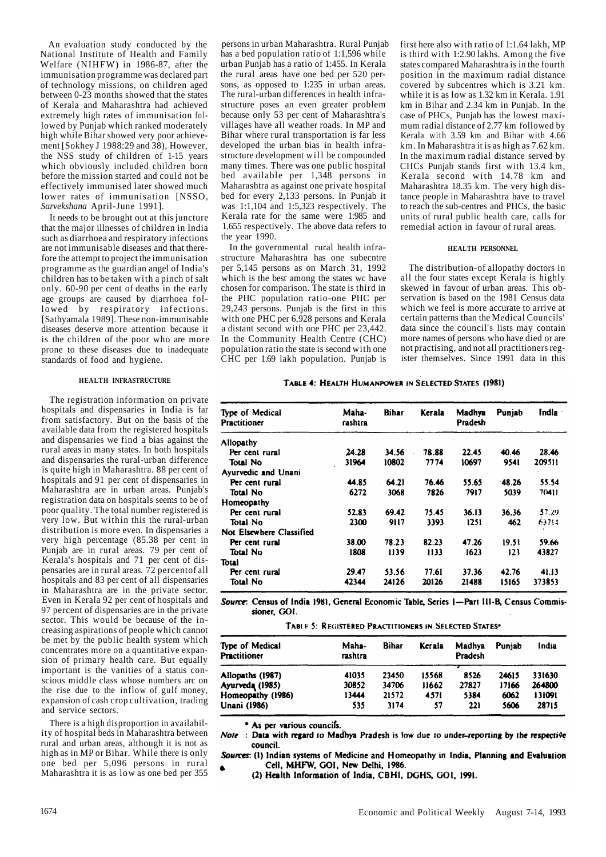An evaluation study conducted by the National Institute of Health and Family Welfare (NIHFW) in 1986-87, after the immunisation programme was declared part of technology missions, on children aged between 0-23 months showed that the states of Kerala and Maharashtra had achieved extremely high rates of immunisation followed by Punjab which ranked moderately high while Bihar showed very poor achievement [Sokhey J 1988:29 and 38), However, the NSS study of children of 1-15 years which obviously included children born before the mission started and could not be effectively immunised later showed much lower rates of immunisation [NSSO, *Sarvekshana* April-June 1991].

It needs to be brought out at this juncture that the major illnesses of children in India such as diarrhoea and respiratory infections are not immunisable diseases and that therefore the attempt to project the immunisation programme as the guardian angel of India's children has to be taken with a pinch of salt only. 60-90 per cent of deaths in the early age groups are caused by diarrhoea followed by respiratory infections. [Sathyamala 1989]. These non-immunisable diseases deserve more attention because it is the children of the poor who are more prone to these diseases due to inadequate standards of food and hygiene.

#### **HEALTH INFRASTRUCTURE**

The registration information on private hospitals and dispensaries in India is far from satisfactory. But on the basis of the available data from the registered hospitals and dispensaries we find a bias against the rural areas in many states. In both hospitals and dispensaries the rural-urban difference is quite high in Maharashtra. 88 per cent of hospitals and 91 per cent of dispensaries in Maharashtra are in urban areas. Punjab's registration data on hospitals seems to be of poor quality. The total number registered is very low. But within this the rural-urban distribution is more even. In dispensaries a very high percentage (85.38 per cent in Punjab are in rural areas. 79 per cent of Kerala's hospitals and 71 per cent of dispensaries are in rural areas. 72 percentof all hospitals and 83 per cent of all dispensaries in Maharashtra are in the private sector. Even in Kerala 92 per cent of hospitals and 97 percent of dispensaries are in the private sector. This would be because of the increasing aspirations of people which cannot be met by the public health system which concentrates more on a quantitative expansion of primary health care. But equally important is the vanities of a status conscious middle class whose numbers arc on the rise due to the inflow of gulf money, expansion of cash crop cultivation, trading and service sectors.

There is a high disproportion in availability of hospital beds in Maharashtra between rural and urban areas, although it is not as high as in MP or Bihar. While there is only one bed per 5,096 persons in rural Maharashtra it is as low as one bed per 355

persons in urban Maharashtra. Rural Punjab has a bed population ratio of 1:1,596 while urban Punjab has a ratio of 1:455. In Kerala the rural areas have one bed per 520 persons, as opposed to 1:235 in urban areas. The rural-urban differences in health infrastructure poses an even greater problem because only 53 per cent of Maharashtra's villages have all weather roads. In MP and Bihar where rural transportation is far less developed the urban bias in health infrastructure development will be compounded many times. There was one public hospital bed available per 1,348 persons in Maharashtra as against one private hospital bed for every 2,133 persons. In Punjab it was  $1:1,104$  and  $1:5,323$  respectively. The Kerala rate for the same were 1:985 and 1.655 respectively. The above data refers to the year 1990.

In the governmental rural health infrastructure Maharashtra has one subecntre per 5,145 persons as on March 31, 1992 which is the best among the states wc have chosen for comparison. The state is third in the PHC population ratio-one PHC per 29,243 persons. Punjab is the first in this with one PHC per 6,928 persons and Kerala a distant second with one PHC per 23,442. In the Community Health Centre (CHC) population ratio the state is second with one CHC per 1.69 lakh population. Punjab is first here also with ratio of 1:1.64 lakh, MP is third with 1:2.90 lakhs. Among the five states compared Maharashtra is in the fourth position in the maximum radial distance covered by subcentres which is 3.21 km. while it is as low as 1.32 km in Kerala. 1.91 km in Bihar and 2.34 km in Punjab. In the case of PHCs, Punjab has the lowest maximum radial distance of 2.77 km followed by Kerala with 3.59 km and Bihar with 4.66 km. In Maharashtra it is as high as 7.62 km. In the maximum radial distance served by CHCs Punjab stands first with 13.4 km, Kerala second with 14.78 km and Maharashtra 18.35 km. The very high distance people in Maharashtra have to travel to reach the sub-centres and PHCs, the basic units of rural public health care, calls for remedial action in favour of rural areas.

#### **HEALTH PERSONNEL**

The distribution-of allopathy doctors in all the four states except Kerala is highly skewed in favour of urban areas. This observation is based on the 1981 Census data which we feel is more accurate to arrive at certain patterns than the Medical Councils' data since the council's lists may contain more names of persons who have died or are not practising, and not all practitioners register themselves. Since 1991 data in this

#### TABLE 4: HEALTH HUMANPOWER IN SELECTED STATES (1981)

| Type of Medical          | Maha-   | <b>Bihar</b> | <b>Kerala</b> | Madhya  | Puniab   | India · |
|--------------------------|---------|--------------|---------------|---------|----------|---------|
| Practitioner             | rashtra |              |               | Pradesh |          |         |
| Allopathy                |         |              |               |         |          |         |
| Per cent rural           | 24.28   | 34.56        | 78.88         | 22.45   | 40.46    | 28.46   |
| <b>Total No</b>          | 31964   | 10802        | 7774          | 10697   | 9541     | 209511  |
| Ayurvedic and Unani      |         |              |               |         |          |         |
| Per cent rural           | 44.85   | 64.21        | 76.46         | 55.65   | $-48.26$ | 55.54   |
| Total No                 | 6272    | 3068         | 7826          | 7917    | 5039     | 70411   |
| Homeopathy               |         |              |               |         |          |         |
| Per cent rural           | 52.83   | 69.42        | 75.45         | 36.13   | 36.36    | 57.29   |
| Total No                 | 2300    | 9117         | 3393          | 1251    | 462      | 63714   |
| Not Elsewhere Classified |         |              |               |         |          |         |
| Per cent rural           | 38.00   | 78.23        | 82.23         | 47.26   | 19.51    | 59.66   |
| Total No                 | 1808    | -1139        | 1133          | 1623    | 123      | 43827   |
| Total                    |         |              |               |         |          |         |
| Per cent rural           | 29.47   | 53.56        | 77.61         | 37.36   | 42.76    | 41.13   |
| Total No                 | 42344   | 24126        | 20126         | 21488   | 15165    | 373853  |

Source: Census of India 1981, General Economic Table, Series 1-Part III-B, Census Commissioner, GOI.

| <b>TABLE 5: REGISTERED PRACTITIONERS IN SELECTED STATES:</b> |  |  |
|--------------------------------------------------------------|--|--|
|--------------------------------------------------------------|--|--|

| Type of Medical<br>Practitioner | Maha-<br>rashtra | Bihar | Kerala | Madhya<br>Pradesh | Puniab | India  |  |
|---------------------------------|------------------|-------|--------|-------------------|--------|--------|--|
| Allopaths (1987)                | 41035            | 23450 | 15568  | 8526              | 24615  | 331630 |  |
| Ayurveda (1985)                 | 30852            | 34706 | 11662  | 27827             | 17166  | 264800 |  |
| Homeopathy (1986)               | 13444            | 21572 | 4571   | 5384              | 6062   | 131091 |  |
| Unani (1986)                    | 535              | 3174  | 57     | 221               | 5606   | 28715  |  |

\* As per various councils.

Note: Data with regard to Madhya Pradesh is low due to under-reporting by the respective council.

Sources: (1) Indian systems of Medicine and Homeopathy in India, Planning and Evaluation Cell, MHFW, GOI, New Delhi, 1986.

(2) Health Information of India, CBHI, DGHS, GOI, 1991.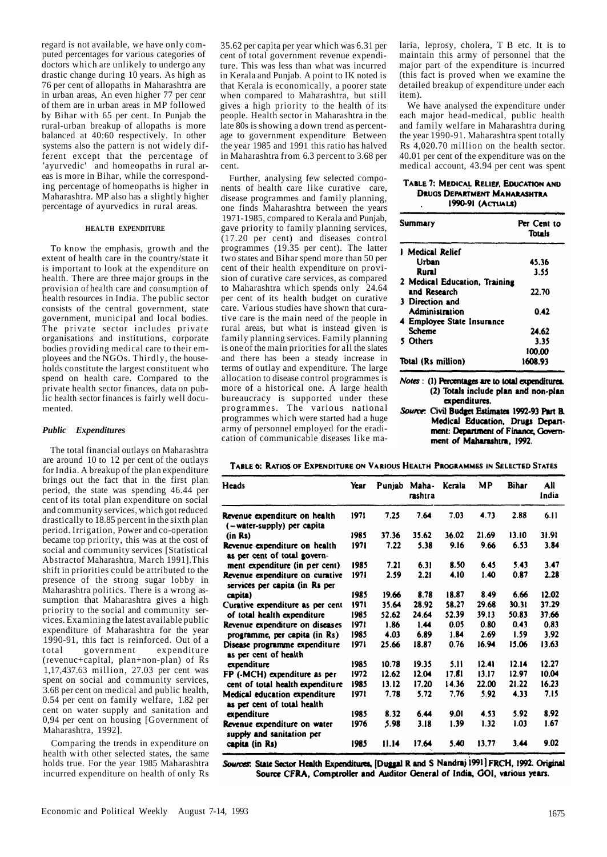regard is not available, we have only computed percentages for various categories of doctors which are unlikely to undergo any drastic change during 10 years. As high as 76 per cent of allopaths in Maharashtra are in urban areas, An even higher 77 per cenr of them are in urban areas in MP followed by Bihar with 65 per cent. In Punjab the rural-urban breakup of allopaths is more balanced at 40:60 respectively. In other systems also the pattern is not widely different except that the percentage of 'ayurvedic' and homeopaths in rural areas is more in Bihar, while the corresponding percentage of homeopaths is higher in Maharashtra. MP also has a slightly higher percentage of ayurvedics in rural areas.

#### **HEALTH EXPENDITURE**

To know the emphasis, growth and the extent of health care in the country/state it is important to look at the expenditure on health. There are three major groups in the provision of health care and consumption of health resources in India. The public sector consists of the central government, state government, municipal and local bodies. The private sector includes private organisations and institutions, corporate bodies providing medical care to their employees and the NGOs. Thirdly, the households constitute the largest constituent who spend on health care. Compared to the private health sector finances, data on public health sector finances is fairly well documented.

#### *Public Expenditures*

The total financial outlays on Maharashtra are around 10 to 12 per cent of the outlays for India. A breakup of the plan expenditure brings out the fact that in the first plan period, the state was spending 46.44 per cent of its total plan expenditure on social and community services, which got reduced drastically to 18.85 percent in the sixth plan period. Irrigation, Power and co-operation became top priority, this was at the cost of social and community services [Statistical Abstractof Maharashtra, March 1991].This shift in priorities could be attributed to the presence of the strong sugar lobby in Maharashtra politics. There is a wrong assumption that Maharashtra gives a high priority to the social and community services. Examining the latest available public expenditure of Maharashtra for the year 1990-91, this fact is reinforced. Out of a total government expenditure (revenuc+capital, plan+non-plan) of Rs 1,17,437.63 million, 27.03 per cent was spent on social and community services, 3.68 per cent on medical and public health, 0.54 per cent on family welfare, 1.82 per cent on water supply and sanitation and 0,94 per cent on housing [Government of Maharashtra, 1992].

Comparing the trends in expenditure on health with other selected states, the same holds true. For the year 1985 Maharashtra incurred expenditure on health of only Rs

35.62 per capita per year which was 6.31 per cent of total government revenue expenditure. This was less than what was incurred in Kerala and Punjab. A point to IK noted is that Kerala is economically, a poorer state when compared to Maharashtra, but still gives a high priority to the health of its people. Health sector in Maharashtra in the late 80s is showing a down trend as percentage to government expenditure Between the year 1985 and 1991 this ratio has halved in Maharashtra from 6.3 percent to 3.68 per cent.

Further, analysing few selected components of health care like curative care, disease programmes and family planning, one finds Maharashtra between the years 1971-1985, compared to Kerala and Punjab, gave priority to family planning services, (17.20 per cent) and diseases control programmes (19.35 per cent). The latter two states and Bihar spend more than 50 per cent of their health expenditure on provision of curative care services, as compared to Maharashtra which spends only 24.64 per cent of its health budget on curative care. Various studies have shown that curative care is the main need of the people in rural areas, but what is instead given is family planning services. Family planning is one of the main priorities for all the slates and there has been a steady increase in terms of outlay and expenditure. The large allocation to disease control programmes is more of a historical one. A large health bureaucracy is supported under these programmes. The various national programmes which were started had a huge army of personnel employed for the eradication of communicable diseases like malaria, leprosy, cholera, T B etc. It is to maintain this army of personnel that the major part of the expenditure is incurred (this fact is proved when we examine the detailed breakup of expenditure under each item).

We have analysed the expenditure under each major head-medical, public health and family welfare in Maharashtra during the year 1990-91. Maharashtra spent totally Rs 4,020.70 million on the health sector. 40.01 per cent of the expenditure was on the medical account, 43.94 per cent was spent

#### TABLE 7: MEDICAL RELIEF, EDUCATION AND **DRUGS DEPARTMENT MAHARASHTRA** 1990-91 (ACTUALS)

| <b>Summary</b>                | Per Cent to<br><b>Totals</b> |
|-------------------------------|------------------------------|
| 1 Medical Relief              |                              |
| Urban                         | 45.36                        |
| Rural                         | 3.55                         |
| 2 Medical Education, Training |                              |
| and Research                  | 22.70                        |
| 3 Direction and               |                              |
| <b>Administration</b>         | 0.42                         |
| 4 Employee State Insurance    |                              |
| Scheme                        | 24.62                        |
| 5 Others                      | 3.35                         |
|                               | 100.00                       |
| Total (Rs million)            | 1608.93                      |

Notes : (1) Percentages are to total expenditures. (2) Totals include plan and non-plan expenditures.

Source: Civil Budget Estimates 1992-93 Part B. Medical Education, Drugs Department: Department of Finance, Government of Maharashtra, 1992.

TABLE 6: RATIOS OF EXPENDITURE ON VARIOUS HEALTH PROGRAMMES IN SELECTED STATES

| Heads                                                             | Year | Punjab | Maha-<br>rashtra | Kerala | МP    | <b>Bihar</b> | All<br>India |
|-------------------------------------------------------------------|------|--------|------------------|--------|-------|--------------|--------------|
| Revenue expenditure on health<br>(-water-supply) per capita       | 1971 | 7.25   | 7.64             | 7.03   | 4.73  | 2.88         | 6.11         |
| (in Rs)                                                           | 1985 | 37.36  | 35.62            | 36.02  | 21.69 | 13.10        | 31.91        |
| Revenue expenditure on health<br>as per cent of total govern-     | 1971 | 7.22   | 5.38             | 9.16   | 9.66  | 6.53         | 3.84         |
| ment expenditure (in per cent)                                    | 1985 | 7.21   | 6.31             | 8.50   | 6.45  | 5.43         | 3.47         |
| Revenue expenditure on curative<br>services per capita (in Rs per | 1971 | 2.59   | 2.21             | 4.10   | 1.40  | 0.87         | 2.28         |
| capita)                                                           | 1985 | 19.66  | 8.78             | 18.87  | 8.49  | 6.66         | 12.02        |
| Curative expenditure as per cent                                  | 1971 | 35.64  | 28.92            | 58.27  | 29.68 | 30.31        | 37.29        |
| of total health expenditure                                       | 1985 | 52.62  | 24.64            | 52.39  | 39.13 | 50.83        | 37.66        |
| Revenue expenditure on diseases                                   | 1971 | 1.86   | 1.44             | 0.05   | 0.80  | 0.43         | 0.83         |
| programme, per capita (in Rs)                                     | 1985 | 4.03   | 6.89             | 1.84   | 2.69  | 1.59         | 3.92         |
| Disease programme expenditure<br>as per cent of health            | 1971 | 25.66  | 18.87            | 0.76   | 16.94 | 15.06        | 13.63        |
| expenditure                                                       | 1985 | 10.78  | 19.35            | 5.11   | 12.41 | 12.14        | 12.27        |
| FP (-MCH) expenditure as per                                      | 1972 | 12.62  | 12.04            | 17.81  | 13.17 | 12.97        | 10.04        |
| cent of total health expenditure                                  | 1985 | 13.12  | 17.20            | 14.36  | 22.00 | 21.22        | 16.23        |
| Medical education expenditure<br>as per cent of total health      | 1971 | 7.78   | 5.72             | 7,76   | 5.92  | 4.33         | 7.15         |
| expenditure                                                       | 1985 | 8.32   | 6.44             | 9.01   | 4.53  | 5.92         | 8.92         |
| Revenue expenditure on water<br>supply and sanitation per         | 1976 | 5.98   | 3.18             | 1.39   | 1.32  | 1.03         | 1.67         |
| capita (in Rs)                                                    | 1985 | 11.14  | 17.64            | 5.40   | 13.77 | 3.44         | 9.02         |

Sources: State Sector Health Expenditures, [Duggal R and S Nandraj 1991] FRCH, 1992. Original Source CFRA, Comptroller and Auditor General of India, GOI, various years.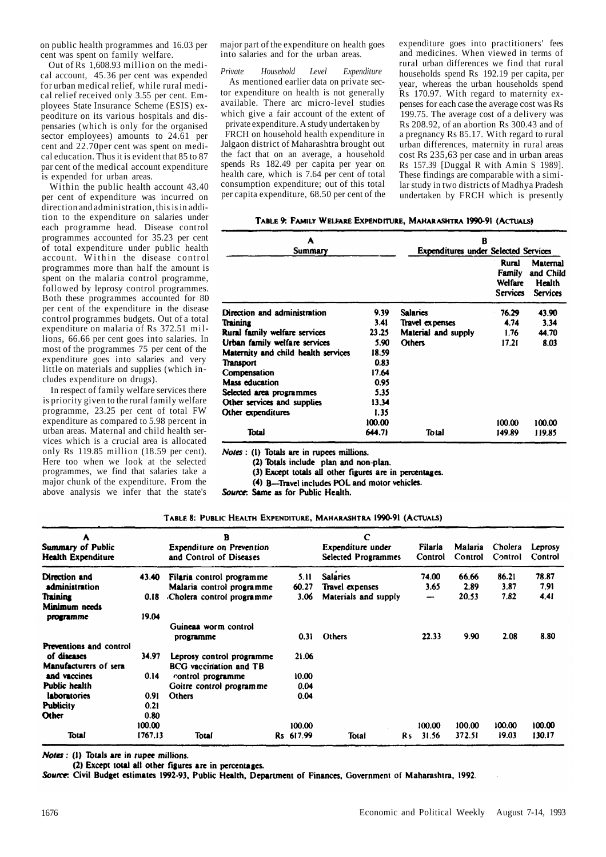on public health programmes and 16.03 per cent was spent on family welfare.

Out of  $\hat{Rs}$  1,608.93 million on the medical account, 45.36 per cent was expended for urban medical relief, while rural medical relief received only 3.55 per cent. Employees State Insurance Scheme (ESIS) expeoditure on its various hospitals and dispensaries (which is only for the organised sector employees) amounts to 24.61 per cent and 22.70per cent was spent on medical education. Thus it is evident that 85 to 87 par cent of the medical account expenditure is expended for urban areas.

Within the public health account 43.40 per cent of expenditure was incurred on direction and administration, this is in addition to the expenditure on salaries under each programme head. Disease control programmes accounted for 35.23 per cent of total expenditure under public health account. Within the disease control programmes more than half the amount is spent on the malaria control programme, followed by leprosy control programmes. Both these programmes accounted for 80 per cent of the expenditure in the disease control programmes budgets. Out of a total expenditure on malaria of Rs 372.51 millions, 66.66 per cent goes into salaries. In most of the programmes 75 per cent of the expenditure goes into salaries and very little on materials and supplies (which includes expenditure on drugs).

In respect of family welfare services there is priority given to the rural family welfare programme, 23.25 per cent of total FW expenditure as compared to 5.98 percent in urban areas. Maternal and child health services which is a crucial area is allocated only Rs 119.85 million (18.59 per cent). Here too when we look at the selected programmes, we find that salaries take a major chunk of the expenditure. From the above analysis we infer that the state's

major part of the expenditure on health goes into salaries and for the urban areas.

*Private Household Level Expenditure*  As mentioned earlier data on private sector expenditure on health is not generally available. There arc micro-level studies which give a fair account of the extent of private expenditure. A study undertaken by

FRCH on household health expenditure in Jalgaon district of Maharashtra brought out the fact that on an average, a household spends Rs 182.49 per capita per year on health care, which is 7.64 per cent of total consumption expenditure; out of this total per capita expenditure, 68.50 per cent of the expenditure goes into practitioners' fees and medicines. When viewed in terms of rural urban differences we find that rural households spend Rs 192.19 per capita, per year, whereas the urban households spend Rs 170.97. With regard to maternity expenses for each case the average cost was Rs 199.75. The average cost of a delivery was Rs 208.92, of an abortion Rs 300.43 and of a pregnancy Rs 85.17. With regard to rural urban differences, maternity in rural areas cost Rs 235,63 per case and in urban areas Rs 157.39 [Duggal R with Amin S 1989]. These findings are comparable with a similar study in two districts of Madhya Pradesh undertaken by FRCH which is presently

| TABLE 9: FAMILY WELFARE EXPENDITURE, MAHARASHTRA 1990-91 (ACTUALS) |  |
|--------------------------------------------------------------------|--|
|--------------------------------------------------------------------|--|

| A                                    |        | в                                           |                                                      |                                                    |  |  |  |  |
|--------------------------------------|--------|---------------------------------------------|------------------------------------------------------|----------------------------------------------------|--|--|--|--|
| Summary                              |        | <b>Expenditures under Selected Services</b> | Rural<br>Family<br><b>Welfare</b><br><b>Services</b> | Maternal<br>and Child<br>Health<br><b>Services</b> |  |  |  |  |
| Direction and administration         | 9.39   | <b>Salaries</b>                             | 76.29                                                | 43.90                                              |  |  |  |  |
| Training                             | 3.41   | Travel expenses                             | 4.74                                                 | 3.34                                               |  |  |  |  |
| <b>Rural family welfare services</b> | 23.25  | Material and supply                         | 1.76                                                 | 44.70                                              |  |  |  |  |
| Urban family welfare services        | 5.90   | <b>Others</b>                               | 17.21                                                | 8.03                                               |  |  |  |  |
| Maternity and child health services  | 18.59  |                                             |                                                      |                                                    |  |  |  |  |
| Transport                            | 0.83   |                                             |                                                      |                                                    |  |  |  |  |
| Compensation                         | 17.64  |                                             |                                                      |                                                    |  |  |  |  |
| Mass education                       | 0.95   |                                             |                                                      |                                                    |  |  |  |  |
| Selected area programmes             | 5.35   |                                             |                                                      |                                                    |  |  |  |  |
| Other services and supplies          | 13.34  |                                             |                                                      |                                                    |  |  |  |  |
| Other expenditures                   | 1.35   |                                             |                                                      |                                                    |  |  |  |  |
|                                      | 100.00 |                                             | 100.00                                               | 100.00                                             |  |  |  |  |
| Total                                | 644.71 | Total                                       | 149.89                                               | 119.85                                             |  |  |  |  |

Notes : (1) Totals are in rupees millions.

(2) Totals include plan and non-plan.

(3) Except totals all other figures are in percentages.

(4) B-Travel includes POL and motor vehicles.

Source: Same as for Public Health.

TABLE 8: PUBLIC HEALTH EXPENDITURE, MAHARASHTRA 1990-91 (ACTUALS)

| A<br>Summary of Public<br>Health Expenditure |         | в<br><b>Expenditure on Prevention</b><br>and Control of Diseases |           | C<br>Expenditure under<br><b>Selected Programmes</b> |                | Filaria<br>Control | Malaria<br>Control | Cholera<br>Control | Leprosy<br>Control |
|----------------------------------------------|---------|------------------------------------------------------------------|-----------|------------------------------------------------------|----------------|--------------------|--------------------|--------------------|--------------------|
| Direction and                                | 43.40   | Filaria control programme                                        | 5.11      | <b>Salaries</b>                                      |                | 74.00              | 66.66              | 86.21              | 78.87              |
| administration                               |         | Malaria control programme                                        | 60.27     | Travel expenses                                      |                | 3.65               | 2.89               | 3.87               | 7.91               |
| Training                                     | 0.18    | Cholera control programme.                                       | 3.06      | Materials and supply                                 |                | —                  | 20.53              | 7.82               | 4.41               |
| Minimum needs<br>programme                   | 19.04   | Guineaa worm control                                             |           |                                                      |                |                    |                    |                    |                    |
|                                              |         | programme                                                        | 0.31      | Others                                               |                | 22.33              | 9.90               | 2.08               | 8.80               |
| <b>Preventions and control</b>               |         |                                                                  |           |                                                      |                |                    |                    |                    |                    |
| of diseases                                  | 34.97   | Leprosy control programme                                        | 21.06     |                                                      |                |                    |                    |                    |                    |
| Manufacturers of sera                        |         | <b>BCG</b> vaccination and TB                                    |           |                                                      |                |                    |                    |                    |                    |
| and vaccines                                 | 0.14    | control programme                                                | 10.00     |                                                      |                |                    |                    |                    |                    |
| Public health                                |         | Goitre control programme                                         | 0.04      |                                                      |                |                    |                    |                    |                    |
| laboratories                                 | 0.91    | <b>Others</b>                                                    | 0.04      |                                                      |                |                    |                    |                    |                    |
| <b>Publicity</b>                             | 0.21    |                                                                  |           |                                                      |                |                    |                    |                    |                    |
| Other                                        | 0.80    |                                                                  |           |                                                      |                |                    |                    |                    |                    |
|                                              | 100.00  |                                                                  | 100.00    |                                                      |                | 100.00             | 100.00             | 100.00             | 100.00             |
| Total                                        | 1767.13 | Total                                                            | Rs 617.99 | Total                                                | R <sub>s</sub> | 31.56              | 372.51             | 19.03              | 130.17             |

Notes : (1) Totals are in rupee millions.

(2) Except total all other figures are in percentages.

Source: Civil Budget estimates 1992-93, Public Health, Department of Finances, Government of Maharashtra, 1992.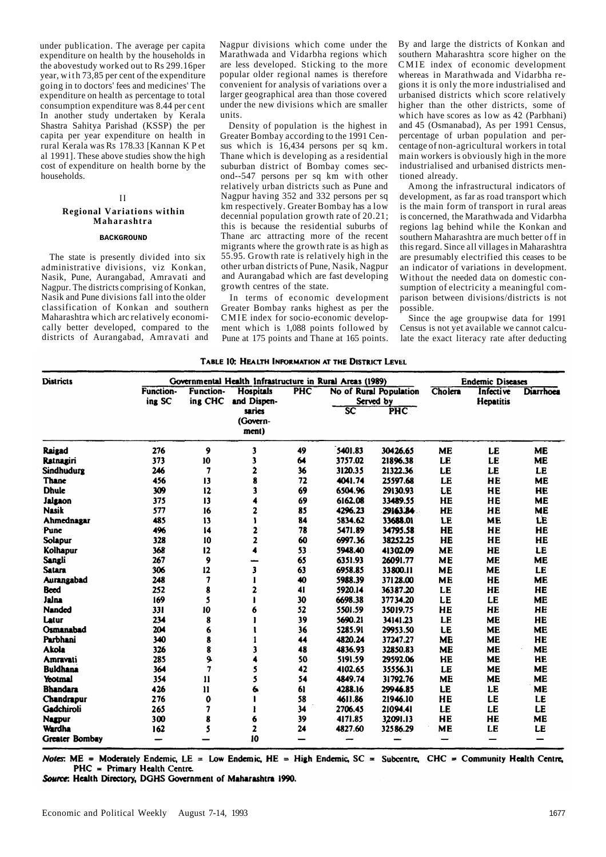under publication. The average per capita expenditure on health by the households in the abovestudy worked out to Rs 299.16per year, with 73,85 per cent of the expenditure going in to doctors' fees and medicines' The expenditure on health as percentage to total consumption expenditure was 8.44 per cent In another study undertaken by Kerala Shastra Sahitya Parishad (KSSP) the per capita per year expenditure on health in rural Kerala was Rs 178.33 [Kannan K P et al 1991]. These above studies show the high cost of expenditure on health borne by the households.

# **I I**

# **Regional Variations within Maharashtra**

#### **BACKGROUND**

The state is presently divided into six administrative divisions, viz Konkan, Nasik, Pune, Aurangabad, Amravati and Nagpur. The districts comprising of Konkan, Nasik and Pune divisions fall into the older classification of Konkan and southern Maharashtra which arc relatively economically better developed, compared to the districts of Aurangabad, Amravati and Nagpur divisions which come under the Marathwada and Vidarbha regions which are less developed. Sticking to the more popular older regional names is therefore convenient for analysis of variations over a larger geographical area than those covered under the new divisions which are smaller units.

Density of population is the highest in Greater Bombay according to the 1991 Census which is 16,434 persons per sq km. Thane which is developing as a residential suburban district of Bombay comes second--547 persons per sq km with other relatively urban districts such as Pune and Nagpur having 352 and 332 persons per sq km respectively. Greater Bombay has a low decennial population growth rate of 20.21; this is because the residential suburbs of Thane arc attracting more of the recent migrants where the growth rate is as high as 55.95. Growth rate is relatively high in the other urban districts of Pune, Nasik, Nagpur and Aurangabad which are fast developing growth centres of the state.

In terms of economic development Greater Bombay ranks highest as per the CMIE index for socio-economic development which is 1,088 points followed by Pune at 175 points and Thane at 165 points. By and large the districts of Konkan and southern Maharashtra score higher on the CMIE index of economic development whereas in Marathwada and Vidarbha regions it is only the more industrialised and urbanised districts which score relatively higher than the other districts, some of which have scores as low as 42 (Parbhani) and 45 (Osmanabad), As per 1991 Census, percentage of urban population and percentage of non-agricultural workers in total main workers is obviously high in the more industrialised and urbanised districts mentioned already.

Among the infrastructural indicators of development, as far as road transport which is the main form of transport in rural areas is concerned, the Marathwada and Vidarbha regions lag behind while the Konkan and southern Maharashtra are much better off in this regard. Since all villages in Maharashtra are presumably electrified this ceases to be an indicator of variations in development. Without the needed data on domestic consumption of electricity a meaningful comparison between divisions/districts is not possible.

Since the age groupwise data for 1991 Census is not yet available we cannot calculate the exact literacy rate after deducting

|  | <b>TABLE 10: HEALTH INFORMATION AT THE DISTRICT LEVEL</b> |  |  |
|--|-----------------------------------------------------------|--|--|
|  |                                                           |  |  |

| <b>Districts</b>      | Governmental Health Infrastructure in Rural Areas (1989) |                             |                                 |     |                                     | <b>Endemic Diseases</b> |           |                                      |                          |
|-----------------------|----------------------------------------------------------|-----------------------------|---------------------------------|-----|-------------------------------------|-------------------------|-----------|--------------------------------------|--------------------------|
|                       | <b>Function-</b><br>ing SC                               | <b>Function-</b><br>ing CHC | <b>Hospitals</b><br>and Dispen- | PHC | No of Rural Population<br>Served by |                         | Cholera   | <b>Infective</b><br><b>Hepatitis</b> | <b>Diarrhoea</b>         |
|                       |                                                          |                             | saries<br>(Govern-<br>ment)     |     | 3C                                  | PHC                     |           |                                      |                          |
| Raigad                | 276                                                      | 9                           | 3                               | 49  | 5401.83                             | 30426.65                | <b>ME</b> | LE                                   | <b>ME</b>                |
| Ratnagiri             | 373                                                      | 10                          | 3                               | 64  | 3757.02                             | 21896.38                | LE        | LE                                   | <b>ME</b>                |
| <b>Sindhudurg</b>     | 246                                                      | 7                           | 2                               | 36  | 3120.35                             | 21322.36                | LE        | LE                                   | LE                       |
| Thane                 | 456                                                      | 13                          | 8                               | 72  | 4041.74                             | 25597.68                | LE        | HE                                   | <b>ME</b>                |
| <b>Dhule</b>          | 309                                                      | 12                          | 3                               | 69  | 6504.96                             | 29130.93                | <b>LE</b> | HE                                   | HE                       |
| <b>Jalgaon</b>        | 375                                                      | 13                          | 4                               | 69  | 6162.08                             | 33489.55                | HE        | HE                                   | <b>ME</b>                |
| <b>Nasik</b>          | 577                                                      | 16                          | 2                               | 85  | 4296.23                             | 29163.84                | HE        | HE                                   | <b>ME</b>                |
| Ahmednagar            | 485                                                      | 13                          | ١                               | 84  | 5834.62                             | 33688.01                | LE        | <b>ME</b>                            | LE                       |
| Punc                  | 496                                                      | 14                          | 2                               | 78  | 5471.89                             | 34795.58                | HE        | HE                                   | HE                       |
| Solapur               | 328                                                      | 10                          | $\overline{\mathbf{z}}$         | 60  | 6997.36                             | 38252.25                | HE        | HE                                   | HE                       |
| Kolhapur              | 368                                                      | 12                          | 4                               | 53  | 5948.40                             | 41302.09                | <b>ME</b> | HE                                   | LE                       |
| Sangli                | 267                                                      | 9                           |                                 | 65  | 6351.93                             | 26091.77                | <b>ME</b> | <b>ME</b>                            | <b>ME</b>                |
| <b>Satara</b>         | 306                                                      | 12                          | 3                               | 63  | 6958.85                             | 33800.11                | <b>ME</b> | <b>ME</b>                            | LE                       |
| Aurangabad            | 248                                                      | 7                           | 1                               | 40  | 5988.39                             | 37128.00                | ME        | HE                                   | <b>ME</b>                |
| <b>Beed</b>           | 252                                                      | 8                           | 2                               | 41  | 5920.14                             | 36387.20                | LE        | HE                                   | HE                       |
| Jaina                 | 169                                                      | 5                           |                                 | 30  | 6698.38                             | 37734.20                | LE        | LE                                   | <b>ME</b>                |
| <b>Nanded</b>         | 331                                                      | 10                          | 6                               | 52  | 5501.59                             | 35019.75                | HE        | HE                                   | HE                       |
| Latur                 | 234                                                      | 8                           |                                 | 39  | 5690.21                             | 34141.23                | LE        | <b>ME</b>                            | HE                       |
| Osmanabad             | 204                                                      | 6                           |                                 | 36  | 5285.91                             | 29953.50                | LE        | <b>ME</b>                            | <b>ME</b>                |
| Parbhani              | 340                                                      | 8                           |                                 | 44  | 4820.24                             | 37247.27                | <b>ME</b> | <b>ME</b>                            | HE                       |
| <b>Akola</b>          | 326                                                      | 8                           | 3                               | 48  | 4836.93                             | 32850.83                | <b>ME</b> | <b>ME</b>                            | <b>ME</b>                |
| <b>Amravati</b>       | 285                                                      | 9.                          | 4                               | 50  | 5191.59                             | 29592.06                | HE        | <b>ME</b>                            | HE                       |
| <b>Buldhana</b>       | 364                                                      | 7                           | 5                               | 42  | 4102.65                             | 35556.31                | LE        | <b>ME</b>                            | <b>ME</b>                |
| Yeotmal               | 354                                                      | $\mathbf{11}$               | 5                               | 54  | 4849.74                             | 31792.76                | <b>ME</b> | <b>ME</b>                            | <b>ME</b>                |
| <b>Bhandara</b>       | 426                                                      | $\mathbf{1}$                | 6                               | 61  | 4288.16                             | 29946.85                | LE        | LE                                   | <b>ME</b>                |
| Chandrapur            | 276                                                      | 0                           |                                 | 58  | 4611.86                             | 21946.10                | HE        | LE                                   | LE                       |
| Gadchiroli            | 265                                                      | 7                           |                                 | 34  | 2706.45                             | 21094.41                | LE        | LE                                   | LE                       |
| <b>Nagpur</b>         | 300                                                      | 8                           | 6                               | 39  | 4171.85                             | 32091.13                | HE        | HE                                   | <b>ME</b>                |
| Wardha                | 162                                                      | 5                           | 2                               | 24  | 4827.60                             | 32586.29                | <b>ME</b> | LE                                   | LE                       |
| <b>Greater Bombay</b> | -                                                        |                             | 10                              | --  |                                     |                         | -         | –                                    | $\overline{\phantom{0}}$ |

Notes: ME = Moderately Endemic, LE = Low Endemic, HE = High Endemic, SC = Subcentre, CHC = Community Health Centre,  $PHC = Primary Health Centre.$ 

Source: Health Directory, DGHS Government of Maharashtra 1990.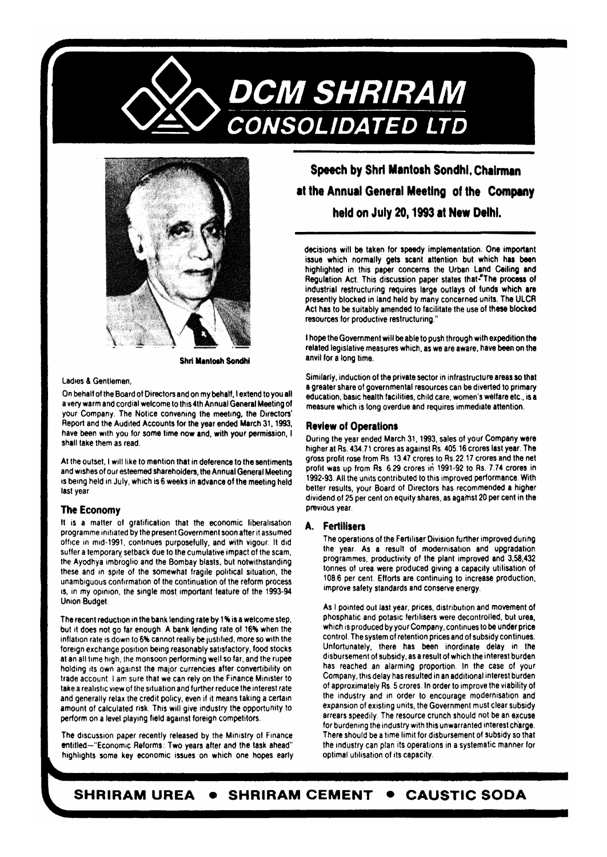



**Shri Mantosh Sondhi** 

#### Ladies & Gentlemen

On behalf of the Board of Directors and on my behalf, I extend to you all a very warm and cordial welcome to this 4th Annual General Meeting of your Company. The Notice convening the meeting, the Directors' Report and the Audited Accounts for the year ended March 31, 1993, have been with you for some time now and, with your permission, I shall take them as read.

At the outset, I will like to mention that in deference to the sentiments and wishes of our esteemed shareholders, the Annual General Meeting is being held in July, which is 6 weeks in advance of the meeting held last year

# **The Economy**

It is a matter of gratification that the economic liberalisation programme initiated by the present Government soon after it assumed office in mid-1991, continues purposefully, and with vigour. It did suffer a temporary setback due to the cumulative impact of the scam, the Ayodhya imbroglio and the Bombay blasts, but notwithstanding these and in spite of the somewhat fragile political situation, the unambiguous confirmation of the continuation of the reform process is, in my opinion, the single most important feature of the 1993-94 **Union Budget.** 

The recent reduction in the bank lending rate by 1% is a welcome step, but it does not go far enough. A bank lending rate of 16% when the inflation rate is down to 6% cannot really be justified, more so with the foreign exchange position being reasonably satisfactory, food stocks at an all time high, the monsoon performing well so far, and the rupee holding its own against the major currencies after convertibility on trade account. I am sure that we can rely on the Finance Minister to take a realistic view of the situation and further reduce the interest rate and generally relax the credit policy, even if it means taking a certain amount of calculated risk. This will give industry the opportunity to perform on a level playing field against foreign competitors.

The discussion paper recently released by the Ministry of Finance entitled-"Economic Reforms: Two years after and the task ahead" highlights some key economic issues on which one hopes early

# Speech by Shri Mantosh Sondhi. Chairman at the Annual General Meeting of the Company held on July 20, 1993 at New Delhi.

decisions will be taken for speedy implementation. One important issue which normally gets scant attention but which has been highlighted in this paper concerns the Urban Land Ceiling and Regulation Act. This discussion paper states that-"The process of industrial restructuring requires large outlays of funds which are presently blocked in land held by many concerned units. The ULCR Act has to be suitably amended to facilitate the use of these blocked resources for productive restructuring."

I hope the Government will be able to push through with expedition the related legislative measures which, as we are aware, have been on the anvil for a long time.

Similarly, induction of the private sector in infrastructure areas so that a greater share of governmental resources can be diverted to primary education, basic health facilities, child care, women's welfare etc., is a measure which is long overdue and requires immediate attention.

#### **Review of Operations**

During the year ended March 31, 1993, sales of your Company were higher at Rs. 434.71 crores as against Rs. 405.16 crores last year. The gross profit rose from Rs. 13.47 crores to Rs. 22.17 crores and the net profit was up from Rs. 6.29 crores in 1991-92 to Rs. 7.74 crores in 1992-93. All the units contributed to this improved performance. With better results, your Board of Directors has recommended a higher dividend of 25 per cent on equity shares, as against 20 per cent in the previous year.

#### A. Fertilisers

The operations of the Fertiliser Division further improved during the year. As a result of modernisation and upgradation programmes, productivity of the plant improved and 3,58,432 tonnes of urea were produced giving a capacity utilisation of 108.6 per cent. Efforts are continuing to increase production, improve safety standards and conserve energy.

As I pointed out last year, prices, distribution and movement of phosphatic and potasic fertilisers were decontrolled, but urea, which is produced by your Company, continues to be under price control. The system of retention prices and of subsidy continues. Unfortunately, there has been inordinate delay in the disbursement of subsidy, as a result of which the interest burden has reached an alarming proportion. In the case of your Company, this delay has resulted in an additional interest burden of approximately Rs. 5 crores. In order to improve the viability of the industry and in order to encourage modernisation and expansion of existing units, the Government must clear subsidy arrears speedily. The resource crunch should not be an excuse for burdening the industry with this unwarranted interest charge. There should be a time limit for disbursement of subsidy so that the industry can plan its operations in a systematic manner for optimal utilisation of its capacity.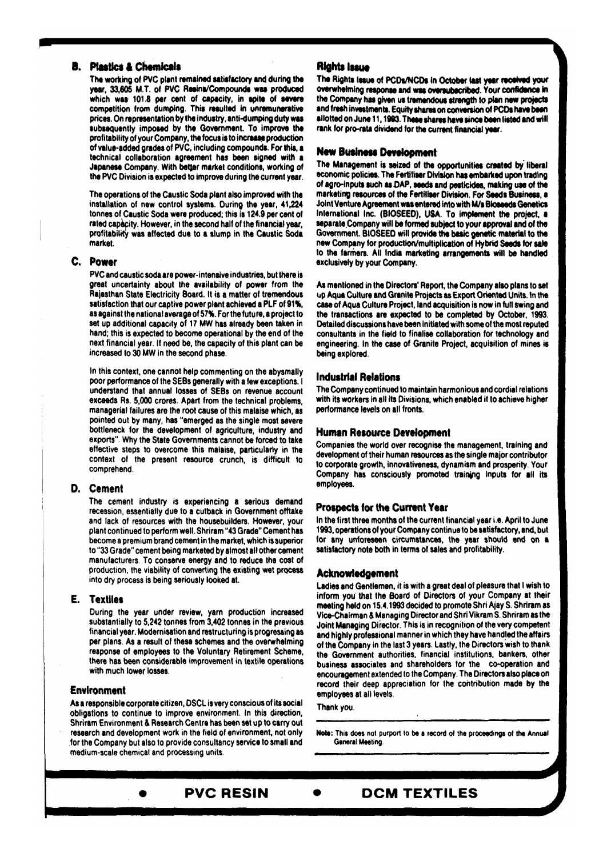# **B.** Plastics & Chemicals

The working of PVC plant remained satisfactory and during the year, 33,605 M.T. of PVC Resins/Compounds was produced which was 101.8 per cent of capacity, in spite of severe competition from dumping. This resulted in unremunerative prices. On representation by the industry, anti-dumping duty was subsequently imposed by the Government. To improve the profitability of your Company, the focus is to increase production of value-added grades of PVC, including compounds. For this, a technical collaboration agreement has been signed with a Japanese Company. With better market conditions, working of the PVC Division is expected to improve during the current year.

The operations of the Caustic Soda plant also improved with the installation of new control systems. During the year, 41,224 tonnes of Caustic Soda were produced; this is 124.9 per cent of rated capacity. However, in the second half of the financial year. profitability was affected due to a slump in the Caustic Soda market.

#### C. Power

PVC and caustic soda are power-intensive industries, but there is great uncertainty about the availability of power from the Rajasthan State Electricity Board. It is a matter of tremendous satisfaction that our captive power plant achieved a PLF of 91%, as against the national average of 57%. For the future, a project to set up additional capacity of 17 MW has already been taken in hand; this is expected to become operational by the end of the next financial year. If need be, the capacity of this plant can be increased to 30 MW in the second phase.

In this context, one cannot help commenting on the abysmally poor performance of the SEBs generally with a few exceptions. I understand that annual losses of SEBs on revenue account exceeds Rs. 5,000 crores. Apart from the technical problems, managerial failures are the root cause of this malaise which, as pointed out by many, has "emerged as the single most severe bottleneck for the development of agriculture, industry and exports". Why the State Governments cannot be forced to take effective steps to overcome this malaise, particularly in the context of the present resource crunch, is difficult to comprehend.

# D. Cement

The cement industry is experiencing a serious demand recession, essentially due to a cutback in Government offtake and lack of resources with the housebuilders. However, your plant continued to perform well. Shriram "43 Grade" Cement has become a premium brand cement in the market, which is superior to "33 Grade" cement being marketed by almost all other cement manufacturers. To conserve energy and to reduce the cost of production, the viability of converting the existing wet process into dry process is being seriously looked at.

## **E.** Textiles

During the year under review, yarn production increased substantially to 5,242 tonnes from 3,402 tonnes in the previous financial year. Modernisation and restructuring is progressing as per plans. As a result of these schemes and the overwhelming response of employees to the Voluntary Retirement Scheme, there has been considerable improvement in textile operations with much lower losses.

#### **Environment**

As a responsible corporate citizen, DSCL is very conscious of its social obligations to continue to improve environment. In this direction, Shriram Environment & Research Centre has been set up to carry out research and development work in the field of environment, not only for the Company but also to provide consultancy service to small and medium-scale chemical and processing units.

#### Rights Issue

The Rights Issue of PCDs/NCDs in October last year received your overwhelming response and was oversubscribed. Your confidence in the Company has given us tremendous strength to plan new projects and fresh investments. Equity shares on conversion of PCDs have been allotted on June 11, 1993. These shares have since been listed and will rank for pro-rata dividend for the current financial vear.

### **New Business Development**

The Management is seized of the opportunities created by liberal economic policies. The Fertiliser Division has embarked upon trading of agro-inputs such as DAP, seeds and pesticides, making use of the marketing resources of the Fertiliser Division. For Seeds Business, a Joint Venture Agreement was entered into with M/s Bioseeds Genetics International Inc. (BIOSEED), USA. To implement the project, a separate Company will be formed subject to your approval and of the Government. BIOSEED will provide the basic genetic material to the new Company for production/multiplication of Hybrid Seeds for sale to the farmers. All India marketing arrangements will be handled exclusively by your Company.

As mentioned in the Directors' Report, the Company also plans to set up Aqua Culture and Granite Projects as Export Oriented Units. In the case of Aqua Culture Project, land acquisition is now in full swing and the transactions are expected to be completed by October, 1993. Detailed discussions have been initiated with some of the most reputed consultants in the field to finalise collaboration for technology and engineering. In the case of Granite Project, acquisition of mines is being explored.

#### **Industrial Relations**

The Company continued to maintain harmonious and cordial relations with its workers in all its Divisions, which enabled it to achieve higher performance levels on all fronts.

#### **Human Resource Development**

Companies the world over recognise the management, training and development of their human resources as the single major contributor to corporate growth, innovativeness, dynamism and prosperity. Your Company has consciously promoted training inputs for all its employees.

# **Prospects for the Current Year**

In the first three months of the current financial year i.e. April to June 1993, operations of your Company continue to be satisfactory, and, but for any unforeseen circumstances, the year should end on a satisfactory note both in terms of sales and profitability.

#### Acknowledgement

Ladies and Gentlemen, it is with a great deal of pleasure that I wish to inform you that the Board of Directors of your Company at their meeting held on 15.4.1993 decided to promote Shri Ajay S. Shriram as Vice-Chairman & Managing Director and Shri Vikram S. Shriram as the Joint Managing Director. This is in recognition of the very competent and highly professional manner in which they have handled the affairs of the Company in the last 3 years. Lastly, the Directors wish to thank the Government authorities, financial institutions, bankers, other business associates and shareholders for the co-operation and encouragement extended to the Company. The Directors also place on record their deep appreciation for the contribution made by the employees at all levels.

Thank you.

**PVC RESIN** 

**DCM TEXTILES** 

Note: This does not purport to be a record of the proceedings of the Annual **General Meeting**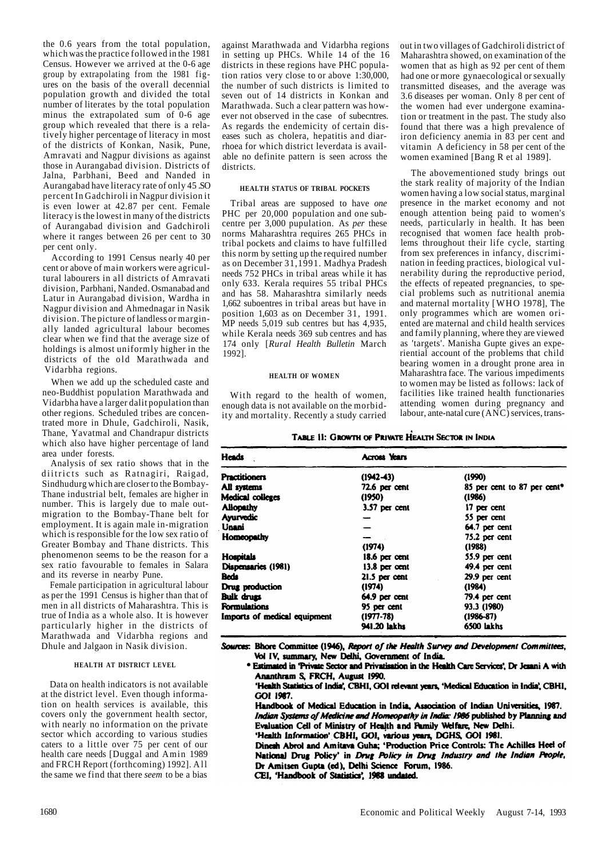the 0.6 years from the total population, which was the practice followed in the 1981 Census. However we arrived at the 0-6 age group by extrapolating from the 1981 figures on the basis of the overall decennial population growth and divided the total number of literates by the total population minus the extrapolated sum of 0-6 age group which revealed that there is a relatively higher percentage of literacy in most of the districts of Konkan, Nasik, Pune, Amravati and Nagpur divisions as against those in Aurangabad division. Districts of Jalna, Parbhani, Beed and Nanded in Aurangabad have literacy rate of only 45 .SO percent In Gadchiroli in Nagpur division it is even lower at 42.87 per cent. Female literacy is the lowest in many of the districts of Aurangabad division and Gadchiroli where it ranges between 26 per cent to 30 per cent only.

According to 1991 Census nearly 40 per cent or above of main workers were agricultural labourers in all districts of Amravati division, Parbhani, Nanded. Osmanabad and Latur in Aurangabad division, Wardha in Nagpur division and Ahmednagar in Nasik division. The picture of landless or marginally landed agricultural labour becomes clear when we find that the average size of holdings is almost uniformly higher in the districts of the old Marathwada and Vidarbha regions.

When we add up the scheduled caste and neo-Buddhist population Marathwada and Vidarbha have a larger dalit population than other regions. Scheduled tribes are concentrated more in Dhule, Gadchiroli, Nasik, Thane, Yavatmal and Chandrapur districts which also have higher percentage of land area under forests.

Analysis of sex ratio shows that in the diitricts such as Ratnagiri, Raigad, Sindhudurg which are closer to the Bombay-Thane industrial belt, females are higher in number. This is largely due to male outmigration to the Bombay-Thane belt for employment. It is again male in-migration which is responsible for the low sex ratio of Greater Bombay and Thane districts. This phenomenon seems to be the reason for a sex ratio favourable to females in Salara and its reverse in nearby Pune.

Female participation in agricultural labour as per the 1991 Census is higher than that of men in all districts of Maharashtra. This is true of India as a whole also. It is however particularly higher in the districts of Marathwada and Vidarbha regions and Dhule and Jalgaon in Nasik division.

#### **HEALTH AT DISTRICT LEVEL**

Data on health indicators is not available at the district level. Even though information on health services is available, this covers only the government health sector, with nearly no information on the private sector which according to various studies caters to a little over 75 per cent of our health care needs [Duggal and Amin 1989 and FRCH Report (forthcoming) 1992]. Al l the same we find that there *seem* to be a bias

against Marathwada and Vidarbha regions in setting up PHCs. While 14 of the 16 districts in these regions have PHC population ratios very close to or above  $1:30,000$ , the number of such districts is limited to seven out of 14 districts in Konkan and Marathwada. Such a clear pattern was however not observed in the case of subecntres. As regards the endemicity of certain diseases such as cholera, hepatitis and diarrhoea for which district leverdata is available no definite pattern is seen across the districts.

#### **HEALTH STATUS OF TRIBAL POCKETS**

Tribal areas are supposed to have *one*  PHC per 20,000 population and one subcentre per 3,000 pupulation. As *per* these norms Maharashtra requires 265 PHCs in tribal pockets and claims to have fulfilled this norm by setting up the required number as on December 31,1991. Madhya Pradesh needs 752 PHCs in tribal areas while it has only 633. Kerala requires 55 tribal PHCs and has 58. Maharashtra similarly needs 1,662 suboentres in tribal areas but have in position 1,603 as on December 31, 1991. MP needs 5,019 sub centres but has 4,935. while Kerala needs 369 sub centres and has 174 only [*Rural Health Bulletin* March 1992].

#### **HEALTH OF WOMEN**

With regard to the health of women, enough data is not available on the morbidity and mortality. Recently a study carried out in two villages of Gadchiroli district of Maharashtra showed, on examination of the women that as high as 92 per cent of them had one or more gynaecological or sexually transmitted diseases, and the average was 3.6 diseases per woman. Only 8 per cent of the women had ever undergone examination or treatment in the past. The study also found that there was a high prevalence of iron deficiency anemia in 83 per cent and vitamin A deficiency in 58 per cent of the women examined [Bang R et al 1989].

The abovementioned study brings out the stark reality of majority of the Indian women having a low social status, marginal presence in the market economy and not enough attention being paid to women's needs, particularly in health. It has been recognised that women face health problems throughout their life cycle, starting from sex preferences in infancy, discrimination in feeding practices, biological vulnerability during the reproductive period, the effects of repeated pregnancies, to special problems such as nutritional anemia and maternal mortality [WHO 1978], The only programmes which are women oriented are maternal and child health services and family planning, where they are viewed as 'targets'. Manisha Gupte gives an experiential account of the problems that child bearing women in a drought prone area in Maharashtra face. The various impediments to women may be listed as follows: lack of facilities like trained health functionaries attending women during pregnancy and labour, ante-natal cure (ANC) services, trans-

#### TABLE II: GROWTH OF PRIVATE HEALTH SECTOR IN INDIA

| <b>Heads</b>                 | <b>Across Years</b> |                                         |
|------------------------------|---------------------|-----------------------------------------|
| <b>Practitioners</b>         | $(1942 - 43)$       | (1990)                                  |
| All systems                  | 72.6 per cent       | 85 per cent to 87 per cent <sup>*</sup> |
| Medical colleges             | (1950)              | (1986)                                  |
| <b>Allopathy</b>             | 3.57 per cent       | 17 per cent                             |
| <b>Ayurvedic</b>             |                     | 55 per cent                             |
| Unani                        |                     | 64.7 per cent                           |
| Homeopathy                   |                     | 75.2 per cent                           |
|                              | (1974)              | (1988)                                  |
| <b>Hospitals</b>             | 18.6 per cent       | 55.9 per cent                           |
| Dispensaries (1981)          | $13.8$ per cent     | 49.4 per cent                           |
| Beds                         | $21.5$ per cent     | 29.9 per cent                           |
| Drug production              | (1974)              | (1984)                                  |
| <b>Bulk drugs</b>            | 64.9 per cent       | 79.4 per cent                           |
| <b>Formulations</b>          | 95 per cent         | 93.3 (1980)                             |
| Imports of medical equipment | $(1977 - 78)$       | $(1986 - 87)$                           |
|                              | 941.20 lakhs        | 6500 lakhs                              |

Sources: Bhore Committee (1946), Report of the Health Survey and Development Committees, Vol IV, summary, New Delhi, Government of India.

\* Estimated in 'Private Sector and Privatisation in the Health Care Services'. Dr Jesani A with Ananthram S, FRCH, August 1990.

'Health Statistics of India', CBHI, GOI relevant years, 'Medical Education in India', CBHI, GOI 1987.

Handbook of Medical Education in India, Association of Indian Universities, 1987. Indian Systems of Medicine and Homeopathy in India: 1986 published by Planning and Evaluation Cell of Ministry of Health and Family Welfare, New Delhi.

'Health Information' CBHI, GOI, various years, DGHS, GOI 1981.

Dinesh Abrol and Amitava Guha; 'Production Price Controls: The Achilles Heel of National Drug Policy' in Drug Policy in Drug Industry and the Indian People, Dr Amitsen Gupta (ed), Delhi Science Forum, 1986. CEI, 'Handbook of Statistics', 1988 undated.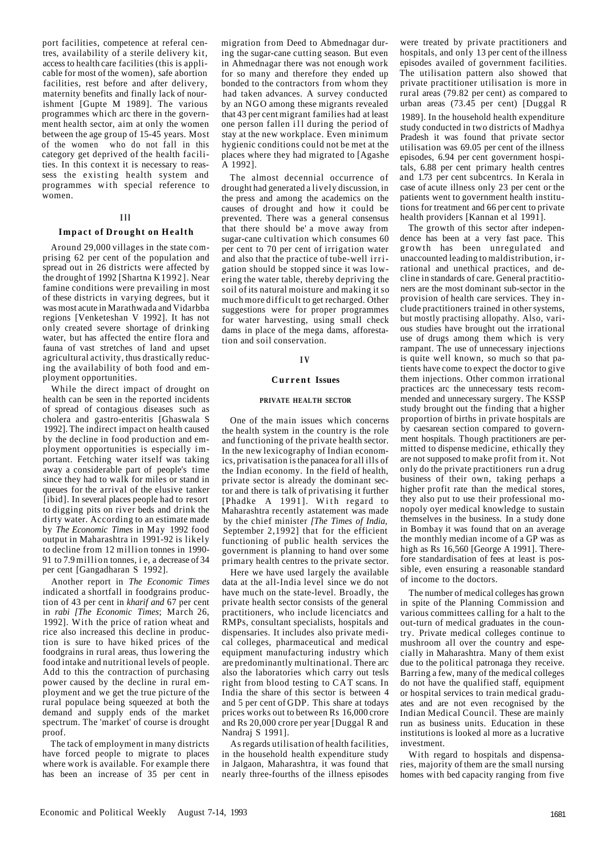port facilities, competence at referal centres, availability of a sterile delivery kit, access to health care facilities (this is applicable for most of the women), safe abortion facilities, rest before and after delivery, maternity benefits and finally lack of nourishment [Gupte M 1989]. The various programmes which arc there in the government health sector, aim at only the women between the age group of 15-45 years. Most of the women who do not fall in this category get deprived of the health facilities. In this context it is necessary to reassess the existing health system and programmes with special reference to women.

# **I l l**

# **Impact of Drought on Health**

Around 29,000 villages in the state comprising 62 per cent of the population and spread out in 26 districts were affected by the drought of 1992 [Shartna K1992]. Near famine conditions were prevailing in most of these districts in varying degrees, but it was most acute in Marathwada and Vidarbba regions [Venketeshan V 1992]. It has not only created severe shortage of drinking water, but has affected the entire flora and fauna of vast stretches of land and upset agricultural activity, thus drastically reducing the availability of both food and employment opportunities.

While the direct impact of drought on health can be seen in the reported incidents of spread of contagious diseases such as cholera and gastro-enteritis [Ghaswala S 1992]. The indirect impact on health caused by the decline in food production and employment opportunities is especially important. Fetching water itself was taking away a considerable part of people's time since they had to walk for miles or stand in queues for the arrival of the elusive tanker [ibid]. In several places people had to resort to digging pits on river beds and drink the dirty water. According to an estimate made by *The Economic Times* in May 1992 food output in Maharashtra in 1991-92 is likely to decline from 12 million tonnes in 1990- 91 to 7.9 million tonnes, i e, a decrease of 34 per cent [Gangadharan S 1992].

Another report in *The Economic Times*  indicated a shortfall in foodgrains production of 43 per cent in *kharif and* 67 per cent in *rabi [The Economic Times*; March 26, 1992]. With the price of ration wheat and rice also increased this decline in production is sure to have hiked prices of the foodgrains in rural areas, thus lowering the food intake and nutritional levels of people. Add to this the contraction of purchasing power caused by the decline in rural employment and we get the true picture of the rural populace being squeezed at both the demand and supply ends of the market spectrum. The 'market' of course is drought proof.

The tack of employment in many districts have forced people to migrate to places where work is available. For example there has been an increase of 35 per cent in migration from Deed to Abmednagar during the sugar-cane cutting season. But even in Ahmednagar there was not enough work for so many and therefore they ended up bonded to the contractors from whom they had taken advances. A survey conducted by an NGO among these migrants revealed that 43 per cent migrant families had at least one person fallen ill during the period of stay at the new workplace. Even minimum hygienic conditions could not be met at the places where they had migrated to [Agashe A 1992].

The almost decennial occurrence of drought had generated a lively discussion, in the press and among the academics on the causes of drought and how it could be prevented. There was a general consensus that there should be' a move away from sugar-cane cultivation which consumes 60 per cent to 70 per cent of irrigation water and also that the practice of tube-well irrigation should be stopped since it was lowering the water table, thereby depriving the soil of its natural moisture and making it so much more difficult to get recharged. Other suggestions were for proper programmes for water harvesting, using small check dams in place of the mega dams, afforestation and soil conservation.

#### **I V**

#### **Curren t Issues**

#### **PRIVATE HEALTH SECTOR**

One of the main issues which concerns the health system in the country is the role and functioning of the private health sector. In the new lexicography of Indian economics, privatisation is the panacea for all ills of the Indian economy. In the field of health, private sector is already the dominant sector and there is talk of privatising it further [Phadke A 1991]. With regard to Maharashtra recently astatement was made by the chief minister *[The Times of India,*  September 2,1992] that for the efficient functioning of public health services the government is planning to hand over some primary health centres to the private sector.

Here we have used largely the available data at the all-India level since we do not have much on the state-level. Broadly, the private health sector consists of the general practitioners, who include licenciatcs and RMPs, consultant specialists, hospitals and dispensaries. It includes also private medical colleges, pharmaceutical and medical equipment manufacturing industry which are predominantly multinational. There arc also the laboratories which carry out tesls right from blood testing to CAT scans. In India the share of this sector is between 4 and 5 per cent of GDP. This share at todays prices works out to between Rs 16,000 crore and Rs 20,000 crore per year [Duggal R and Nandraj S 1991].

As regards utilisation of health facilities, in the household health expenditure study in Jalgaon, Maharashtra, it was found that nearly three-fourths of the illness episodes

were treated by private practitioners and hospitals, and only 13 per cent of the illness episodes availed of government facilities. The utilisation pattern also showed that private practitioner utilisation is more in rural areas (79.82 per cent) as compared to urban areas  $(73.4\overline{5})$  per cent) [Duggal R

1989]. In the household health expenditure study conducted in two districts of Madhya Pradesh it was found that private sector utilisation was 69.05 per cent of the illness episodes, 6.94 per cent government hospitals, 6.88 per cent primary health centres and 1.73 per cent subcentrcs. In Kerala in case of acute illness only 23 per cent or the patients went to government health institutions for treatment and 66 per cent to private health providers [Kannan et al 1991].

The growth of this sector after independence has been at a very fast pace. This growth has been unregulated and unaccounted leading to maldistribution, irrational and unethical practices, and decline in standards of care. General practitioners are the most dominant sub-sector in the provision of health care services. They include practitioners trained in other systems, but mostly practising allopathy. Also, various studies have brought out the irrational use of drugs among them which is very rampant. The use of unnecessary injections is quite well known, so much so that patients have come to expect the doctor to give them injections. Other common irrational practices arc the unnecessary tests recommended and unnecessary surgery. The KSSP study brought out the finding that a higher proportion of births in private hospitals are by caesarean section compared to government hospitals. Though practitioners are permitted to dispense medicine, ethically they are not supposed to make profit from it. Not only do the private practitioners run a drug business of their own, taking perhaps a higher profit rate than the medical stores, they also put to use their professional monopoly oyer medical knowledge to sustain themselves in the business. In a study done in Bombay it was found that on an average the monthly median income of a GP was as high as Rs 16,560 [George A 1991]. Therefore standardisation of fees at least is possible, even ensuring a reasonable standard of income to the doctors.

The number of medical colleges has grown in spite of the Planning Commission and various committees calling for a halt to the out-turn of medical graduates in the country. Private medical colleges continue to mushroom all over the country and especially in Maharashtra. Many of them exist due to the political patronaga they receive. Barring a few, many of the medical colleges do not have the qualified staff, equipment or hospital services to train medical graduates and are not even recognised by the Indian Medical Council. These are mainly run as business units. Education in these institutions is looked al more as a lucrative investment.

With regard to hospitals and dispensaries, majority of them are the small nursing homes with bed capacity ranging from five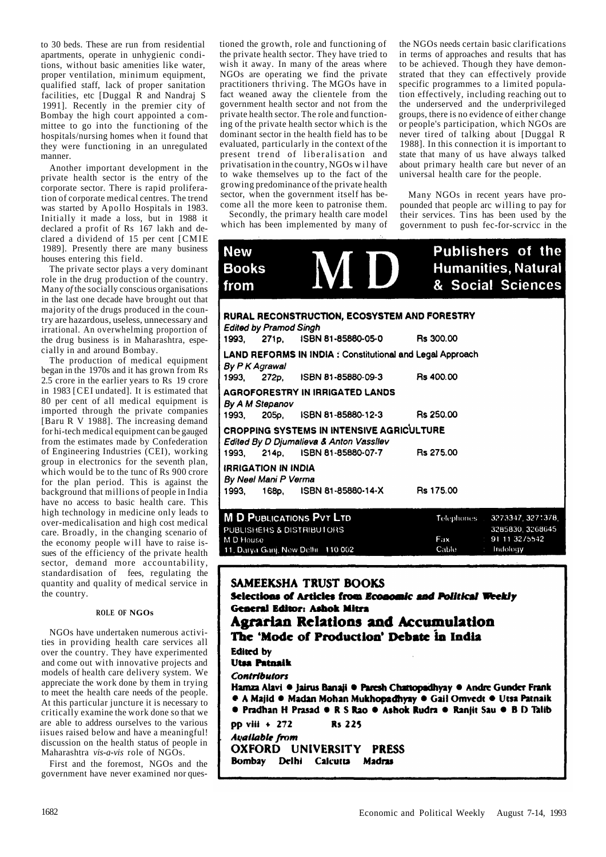to 30 beds. These are run from residential apartments, operate in unhygienic conditions, without basic amenities like water, proper ventilation, minimum equipment, qualified staff, lack of proper sanitation facilities, etc [Duggal R and Nandraj S 1991]. Recently in the premier city of Bombay the high court appointed a committee to go into the functioning of the hospitals/nursing homes when it found that they were functioning in an unregulated manner.

Another important development in the private health sector is the entry of the corporate sector. There is rapid proliferation of corporate medical centres. The trend was started by Apollo Hospitals in 1983. Initially it made a loss, but in 1988 it declared a profit of Rs 167 lakh and declared a dividend of 15 per cent [CMIE 1989]. Presently there are many business houses entering this field.

The private sector plays a very dominant role in the drug production of the country. Many *of* the socially conscious organisations in the last one decade have brought out that majority of the drugs produced in the country are hazardous, useless, unnecessary and irrational. An overwhelming proportion of the drug business is in Maharashtra, especially in and around Bombay.

The production of medical equipment began in the 1970s and it has grown from Rs 2.5 crore in the earlier years to Rs 19 crore in 1983 [CEI undated]. It is estimated that 80 per cent of all medical equipment is imported through the private companies [Baru R V 1988]. The increasing demand for hi-tech medical equipment can be gauged from the estimates made by Confederation of Engineering Industries (CEI), working group in electronics for the seventh plan, which would be to the tunc of Rs 900 crore for the plan period. This is against the background that millions of people in India have no access to basic health care. This high technology in medicine only leads to over-medicalisation and high cost medical care. Broadly, in the changing scenario of the economy people will have to raise issues of the efficiency of the private health sector, demand more accountability, standardisation of fees, regulating the quantity and quality of medical service in the country.

#### **ROLE OF NGOs**

NGOs have undertaken numerous activities in providing health care services all over the country. They have experimented and come out with innovative projects and models of health care delivery system. We appreciate the work done by them in trying to meet the health care needs of the people. At this particular juncture it is necessary to critically examine the work done so that we are able to address ourselves to the various iisues raised below and have a meaningful! discussion on the health status of people in Maharashtra *vis-a-vis* role of NGOs.

First and the foremost, NGOs and the government have never examined nor questioned the growth, role and functioning of the private health sector. They have tried to wish it away. In many of the areas where NGOs are operating we find the private practitioners thriving. The MGOs have in fact weaned away the clientele from the government health sector and not from the private health sector. The role and functioning of the private health sector which is the dominant sector in the health field has to be evaluated, particularly in the context of the present trend of liberalisation and privatisation in the country, NGOs wi l have to wake themselves up to the fact of the growing predominance of the private health sector, when the government itself has become all the more keen to patronise them.

Secondly, the primary health care model which has been implemented by many of the NGOs needs certain basic clarifications in terms of approaches and results that has to be achieved. Though they have demonstrated that they can effectively provide specific programmes to a limited population effectively, including reaching out to the underserved and the underprivileged groups, there is no evidence of either change or people's participation, which NGOs are never tired of talking about [Duggal R 1988]. In this connection it is important to state that many of us have always talked about primary health care but never of an universal health care for the people.

Many NGOs in recent years have propounded that people arc willing to pay for their services. Tins has been used by the government to push fec-for-scrvicc in the

| <b>New</b><br><b>Books</b><br>from                 | VIII<br>$\blacksquare$                                                                                                           | <b>Publishers of the</b><br><b>Humanities, Natural</b><br>& Social Sciences               |
|----------------------------------------------------|----------------------------------------------------------------------------------------------------------------------------------|-------------------------------------------------------------------------------------------|
| <b>Edited by Pramod Singh</b>                      | RURAL RECONSTRUCTION, ECOSYSTEM AND FORESTRY<br>1993, 271p, ISBN 81-85880-05-0 Rs 300.00                                         |                                                                                           |
| By P K Agrawal                                     | LAND REFORMS IN INDIA : Constitutional and Legal Approach<br>1993, 272p, ISBN 81-85880-09-3 Rs 400.00                            |                                                                                           |
| By A M Stepanov                                    | <b>AGROFORESTRY IN IRRIGATED LANDS</b><br>1993, 205p, ISBN 81-85880-12-3 Rs 250.00                                               |                                                                                           |
|                                                    | CROPPING SYSTEMS IN INTENSIVE AGRICULTURE<br>Edited By D Djumalieva & Anton Vassilev<br>1993, 214p, ISBN 81-85880-07-7 Rs 275.00 |                                                                                           |
| <b>IRRIGATION IN INDIA</b><br>By Neel Mani P Verma | 1993, 168p, ISBN 81-85880-14-X Rs 175.00                                                                                         |                                                                                           |
| PUBLISHERS & DISTRIBUTORS<br>M D House             | <b>M D PUBLICATIONS PVT LTD</b><br>11, Darya Ganj, New Delhi 110 002                                                             | Telephones 3273347, 3271378,<br>3285830, 3268645<br>Fax 91 11 32/5542<br>Cable : Indology |

# SAMEEKSHA TRUST BOOKS

Bombay Delhi Caicutta Madras

Selections of Articles from Economic and Political Weekly **General Editor: Ashok Mitra Agrarian Relations and Accumulation** The 'Mode of Production' Debate in India **Edited** by **Utsa Patnaik Contributors** Hamza Alavi · Jairus Banaji · Paresh Chattopadhyay · Andre Gunder Frank · A Majid · Madan Mohan Mukhopadhyay · Gail Omvedt · Utsa Patnaik · Pradhan H Prasad • R S Rao • Ashok Rudra • Ranjit Sau • B D Talib pp viii + 272 **Rs 225 Available from** OXFORD UNIVERSITY PRESS